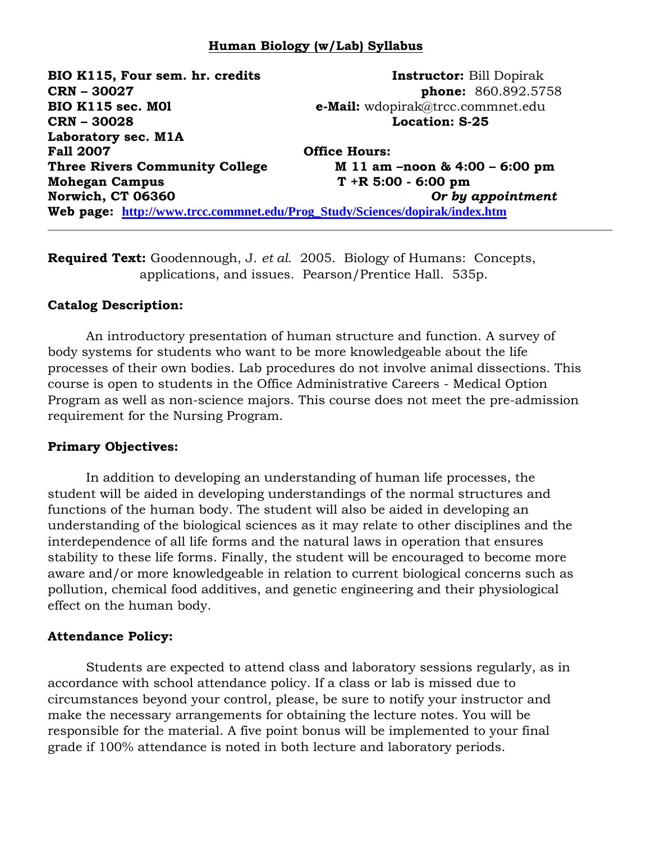### **Human Biology (w/Lab) Syllabus**

**BIO K115, Four sem. hr. credits Instructor:** Bill Dopirak **CRN – 30027 phone:** 860.892.5758 **BIO K115 sec. M01 e-Mail:** wdopirak@trcc.commnet.edu **CRN – 30028 Location: S-25 Laboratory sec. M1A Fall 2007 Office Hours: Three Rivers Community College M 11 am –noon & 4:00 – 6:00 pm Mohegan Campus T +R 5:00 - 6:00 pm Norwich, CT 06360** *Or by appointment* **Web page: [http://www.trcc.commnet.edu/Prog\\_Study/Sciences/dopirak/index.htm](http://www.trcc.commnet.edu/Prog_Study/Sciences/dopirak/index.htm)**

**Required Text:** Goodennough, J. *et al*. 2005. Biology of Humans: Concepts, applications, and issues. Pearson/Prentice Hall. 535p.

#### **Catalog Description:**

An introductory presentation of human structure and function. A survey of body systems for students who want to be more knowledgeable about the life processes of their own bodies. Lab procedures do not involve animal dissections. This course is open to students in the Office Administrative Careers - Medical Option Program as well as non-science majors. This course does not meet the pre-admission requirement for the Nursing Program.

#### **Primary Objectives:**

In addition to developing an understanding of human life processes, the student will be aided in developing understandings of the normal structures and functions of the human body. The student will also be aided in developing an understanding of the biological sciences as it may relate to other disciplines and the interdependence of all life forms and the natural laws in operation that ensures stability to these life forms. Finally, the student will be encouraged to become more aware and/or more knowledgeable in relation to current biological concerns such as pollution, chemical food additives, and genetic engineering and their physiological effect on the human body.

#### **Attendance Policy:**

Students are expected to attend class and laboratory sessions regularly, as in accordance with school attendance policy. If a class or lab is missed due to circumstances beyond your control, please, be sure to notify your instructor and make the necessary arrangements for obtaining the lecture notes. You will be responsible for the material. A five point bonus will be implemented to your final grade if 100% attendance is noted in both lecture and laboratory periods.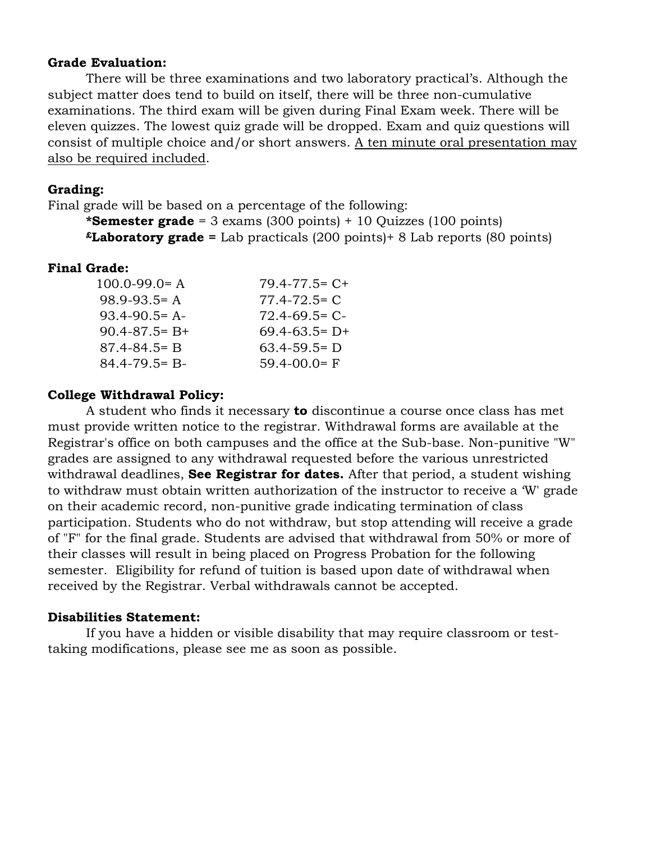#### **Grade Evaluation:**

There will be three examinations and two laboratory practical's. Although the subject matter does tend to build on itself, there will be three non-cumulative examinations. The third exam will be given during Final Exam week. There will be eleven quizzes. The lowest quiz grade will be dropped. Exam and quiz questions will consist of multiple choice and/or short answers. A ten minute oral presentation may also be required included.

### **Grading:**

Final grade will be based on a percentage of the following:

**\*Semester grade** = 3 exams (300 points) + 10 Quizzes (100 points) **£Laboratory grade =** Lab practicals (200 points)+ 8 Lab reports (80 points)

#### **Final Grade:**

| $100.0 - 99.0 = A$  | $79.4 - 77.5 = C +$ |
|---------------------|---------------------|
| $98.9 - 93.5 = A$   | $77.4 - 72.5 = C$   |
| $93.4 - 90.5 = A$   | $72.4 - 69.5 = C$   |
| $90.4 - 87.5 = B +$ | $69.4 - 63.5 = D +$ |
| $87.4 - 84.5 = B$   | $63.4 - 59.5 = D$   |
| $84.4 - 79.5 = B -$ | $59.4 - 00.0 = F$   |
|                     |                     |

### **College Withdrawal Policy:**

A student who finds it necessary **to** discontinue a course once class has met must provide written notice to the registrar. Withdrawal forms are available at the Registrar's office on both campuses and the office at the Sub-base. Non-punitive "W" grades are assigned to any withdrawal requested before the various unrestricted withdrawal deadlines, **See Registrar for dates.** After that period, a student wishing to withdraw must obtain written authorization of the instructor to receive a 'W' grade on their academic record, non-punitive grade indicating termination of class participation. Students who do not withdraw, but stop attending will receive a grade of "F" for the final grade. Students are advised that withdrawal from 50% or more of their classes will result in being placed on Progress Probation for the following semester. Eligibility for refund of tuition is based upon date of withdrawal when received by the Registrar. Verbal withdrawals cannot be accepted.

### **Disabilities Statement:**

If you have a hidden or visible disability that may require classroom or testtaking modifications, please see me as soon as possible.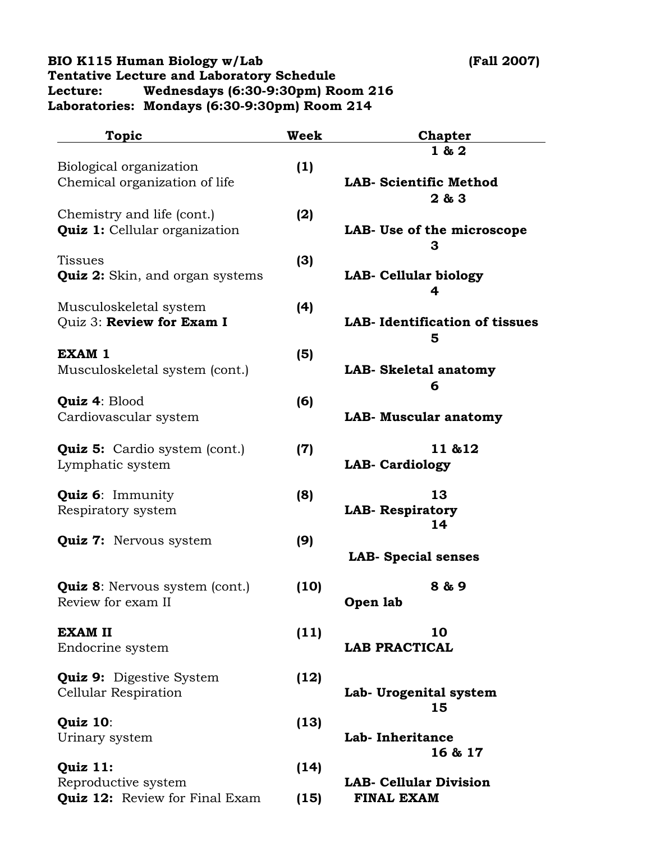### **BIO K115 Human Biology w/Lab (Fall 2007) Tentative Lecture and Laboratory Schedule Lecture: Wednesdays (6:30-9:30pm) Room 216 Laboratories: Mondays (6:30-9:30pm) Room 214**

| <b>Topic</b>                                                       | <b>Week</b> | <b>Chapter</b>                             |
|--------------------------------------------------------------------|-------------|--------------------------------------------|
| Biological organization                                            | (1)         | 1 & 2                                      |
| Chemical organization of life                                      |             | <b>LAB- Scientific Method</b><br>2 & 3     |
| Chemistry and life (cont.)<br><b>Quiz 1: Cellular organization</b> | (2)         | LAB- Use of the microscope<br>з            |
| <b>Tissues</b><br><b>Quiz 2:</b> Skin, and organ systems           | (3)         | <b>LAB- Cellular biology</b>               |
| Musculoskeletal system<br>Quiz 3: Review for Exam I                | (4)         | 4<br><b>LAB-</b> Identification of tissues |
| <b>EXAM 1</b><br>Musculoskeletal system (cont.)                    | (5)         | 5<br>LAB- Skeletal anatomy                 |
| <b>Quiz 4: Blood</b><br>Cardiovascular system                      | (6)         | 6<br><b>LAB- Muscular anatomy</b>          |
| <b>Quiz 5:</b> Cardio system (cont.)<br>Lymphatic system           | (7)         | 11 & 12<br><b>LAB- Cardiology</b>          |
| <b>Quiz 6: Immunity</b><br>Respiratory system                      | (8)         | 13<br><b>LAB- Respiratory</b><br>14        |
| <b>Quiz 7:</b> Nervous system                                      | (9)         | <b>LAB-</b> Special senses                 |
| <b>Quiz 8:</b> Nervous system (cont.)<br>Review for exam II        | (10)        | 8 & 9<br>Open lab                          |
| <b>EXAM II</b><br>Endocrine system                                 | (11)        | 10<br><b>LAB PRACTICAL</b>                 |
| <b>Quiz 9:</b> Digestive System<br><b>Cellular Respiration</b>     | (12)        | Lab- Urogenital system<br>15               |
| Quiz 10:<br>Urinary system                                         | (13)        | Lab- Inheritance<br>16 & 17                |
| Quiz 11:<br>Reproductive system                                    | (14)        | <b>LAB- Cellular Division</b>              |
| <b>Quiz 12:</b> Review for Final Exam                              | (15)        | <b>FINAL EXAM</b>                          |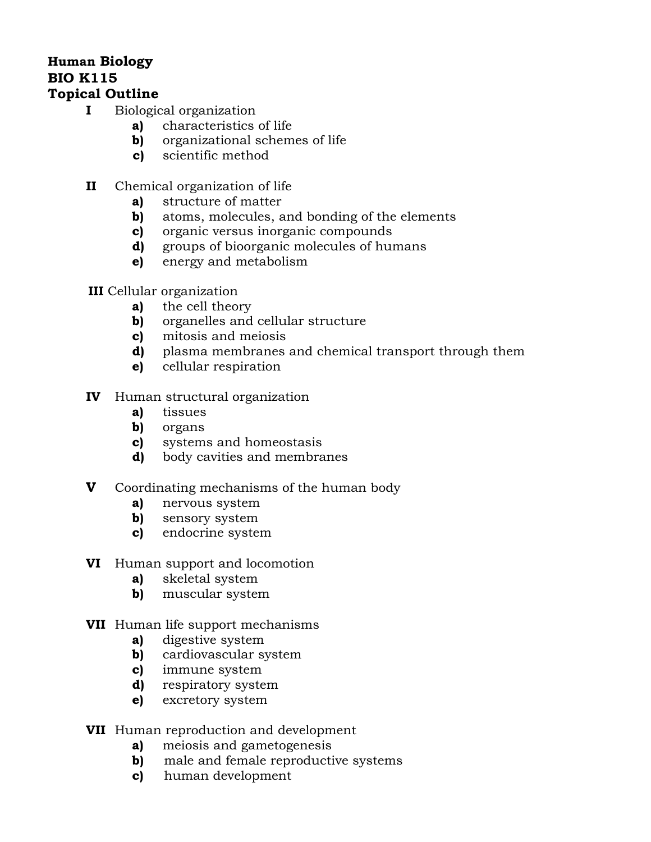# **Human Biology BIO K115**

## **Topical Outline**

- **I** Biological organization
	- **a)** characteristics of life
	- **b)** organizational schemes of life
	- **c)** scientific method
- **II** Chemical organization of life
	- **a)** structure of matter
	- **b)** atoms, molecules, and bonding of the elements
	- **c)** organic versus inorganic compounds
	- **d)** groups of bioorganic molecules of humans
	- **e)** energy and metabolism

### **III** Cellular organization

- **a)** the cell theory
- **b)** organelles and cellular structure
- **c)** mitosis and meiosis
- **d)** plasma membranes and chemical transport through them
- **e)** cellular respiration
- **IV** Human structural organization
	- **a)** tissues
	- **b)** organs
	- **c)** systems and homeostasis
	- **d)** body cavities and membranes
- **V** Coordinating mechanisms of the human body
	- **a)** nervous system
	- **b)** sensory system
	- **c)** endocrine system
- **VI** Human support and locomotion
	- **a)** skeletal system
	- **b)** muscular system
- **VII** Human life support mechanisms
	- **a)** digestive system
	- **b)** cardiovascular system
	- **c)** immune system
	- **d)** respiratory system
	- **e)** excretory system
- **VII** Human reproduction and development
	- **a)** meiosis and gametogenesis
	- **b)** male and female reproductive systems
	- **c)** human development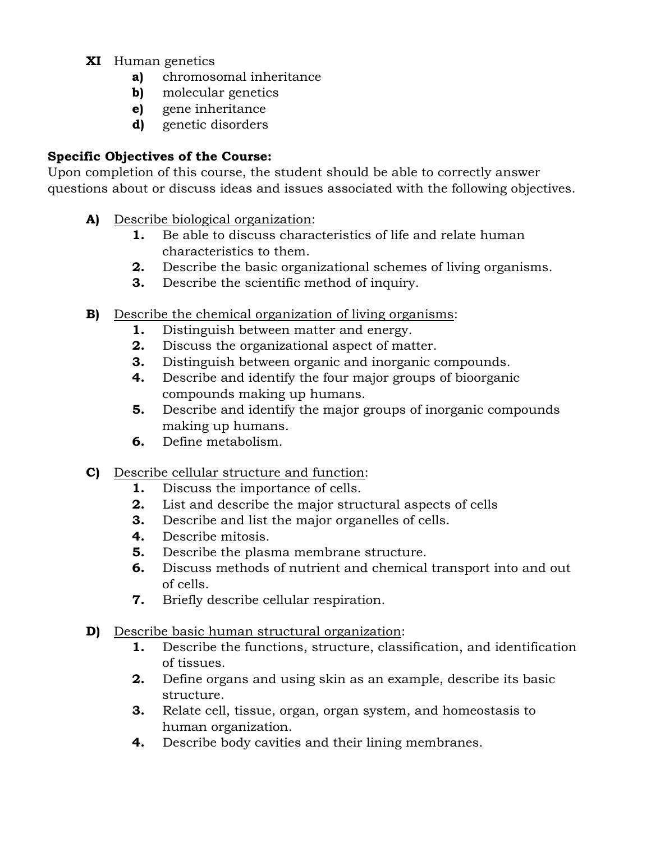- **XI** Human genetics
	- **a)** chromosomal inheritance
	- **b)** molecular genetics
	- **e)** gene inheritance
	- **d)** genetic disorders

# **Specific Objectives of the Course:**

Upon completion of this course, the student should be able to correctly answer questions about or discuss ideas and issues associated with the following objectives.

- **A)** Describe biological organization:
	- **1.** Be able to discuss characteristics of life and relate human characteristics to them.
	- **2.** Describe the basic organizational schemes of living organisms.
	- **3.** Describe the scientific method of inquiry.
- **B)** Describe the chemical organization of living organisms:
	- **1.** Distinguish between matter and energy.
	- **2.** Discuss the organizational aspect of matter.
	- **3.** Distinguish between organic and inorganic compounds.
	- **4.** Describe and identify the four major groups of bioorganic compounds making up humans.
	- **5.** Describe and identify the major groups of inorganic compounds making up humans.
	- **6.** Define metabolism.
- **C)** Describe cellular structure and function:
	- **1.** Discuss the importance of cells.
	- **2.** List and describe the major structural aspects of cells
	- **3.** Describe and list the major organelles of cells.
	- **4.** Describe mitosis.
	- **5.** Describe the plasma membrane structure.
	- **6.** Discuss methods of nutrient and chemical transport into and out of cells.
	- **7.** Briefly describe cellular respiration.
- **D)** Describe basic human structural organization:
	- **1.** Describe the functions, structure, classification, and identification of tissues.
	- **2.** Define organs and using skin as an example, describe its basic structure.
	- **3.** Relate cell, tissue, organ, organ system, and homeostasis to human organization.
	- **4.** Describe body cavities and their lining membranes.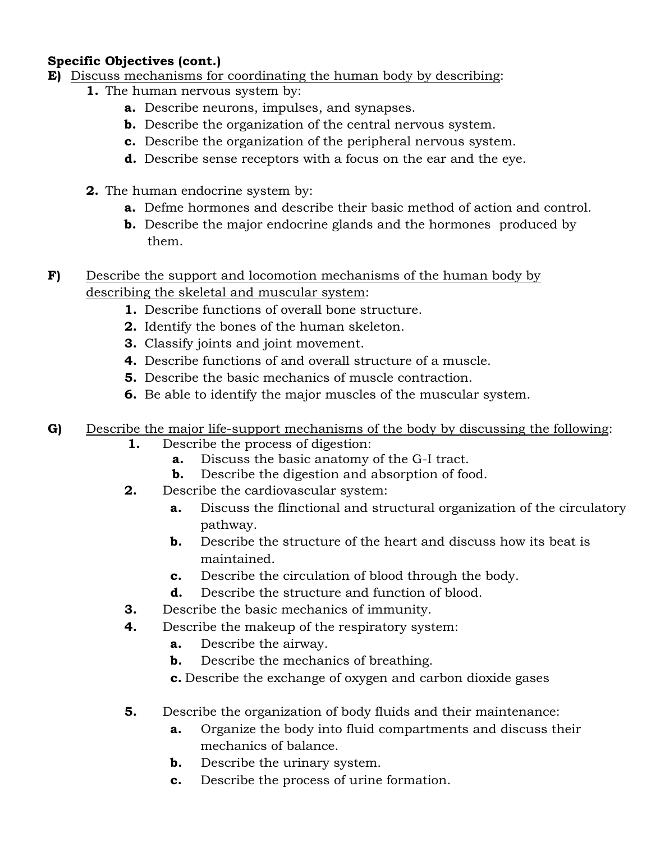# **Specific Objectives (cont.)**

- **E)** Discuss mechanisms for coordinating the human body by describing:
	- **1.** The human nervous system by:
		- **a.** Describe neurons, impulses, and synapses.
		- **b.** Describe the organization of the central nervous system.
		- **c.** Describe the organization of the peripheral nervous system.
		- **d.** Describe sense receptors with a focus on the ear and the eye.
		- **2.** The human endocrine system by:
			- **a.** Defme hormones and describe their basic method of action and control.
			- **b.** Describe the major endocrine glands and the hormones produced by them.
- **F)** Describe the support and locomotion mechanisms of the human body by describing the skeletal and muscular system:
	- **1.** Describe functions of overall bone structure.
	- **2.** Identify the bones of the human skeleton.
	- **3.** Classify joints and joint movement.
	- **4.** Describe functions of and overall structure of a muscle.
	- **5.** Describe the basic mechanics of muscle contraction.
	- **6.** Be able to identify the major muscles of the muscular system.
- **G)** Describe the major life-support mechanisms of the body by discussing the following:
	- **1.** Describe the process of digestion:
		- **a.** Discuss the basic anatomy of the G-I tract.
		- **b.** Describe the digestion and absorption of food.
	- **2.** Describe the cardiovascular system:
		- **a.** Discuss the flinctional and structural organization of the circulatory pathway.
		- **b.** Describe the structure of the heart and discuss how its beat is maintained.
		- **c.** Describe the circulation of blood through the body.
		- **d.** Describe the structure and function of blood.
	- **3.** Describe the basic mechanics of immunity.
	- **4.** Describe the makeup of the respiratory system:
		- **a.** Describe the airway.
		- **b.** Describe the mechanics of breathing.
		- **c.** Describe the exchange of oxygen and carbon dioxide gases
	- **5.** Describe the organization of body fluids and their maintenance:
		- **a.** Organize the body into fluid compartments and discuss their mechanics of balance.
		- **b.** Describe the urinary system.
		- **c.** Describe the process of urine formation.